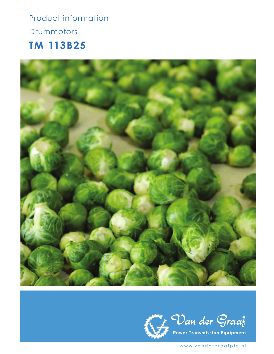# Product information Drummotors **TM 113B25**





www.vandergraafpte.nl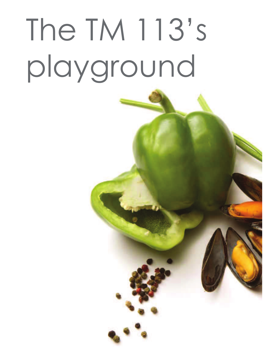# The TM 113's playground

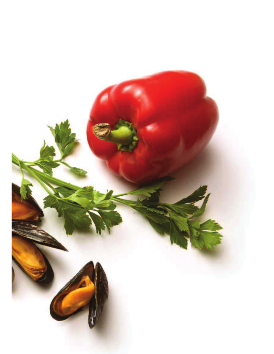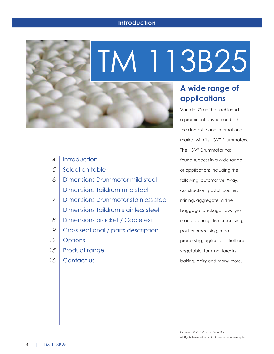#### **Introduction**



- *4* **Introduction**
- *5* Selection table
- *6* Dimensions Drummotor mild steel Dimensions Taildrum mild steel
- *7* Dimensions Drummotor stainless steel Dimensions Taildrum stainless steel
- *8* Dimensions bracket / Cable exit
- *9* Cross sectional / parts description
- *12* **Options**
- *15* Product range
- *16* Contact us

# **A wide range of applications**

Van der Graaf has achieved a prominent position on both the domestic and international market with its "GV" Drummotors. The "GV" Drummotor has found success in a wide range of applications including the following: automotive, X-ray, construction, postal, courier, mining, aggregate, airline baggage, package flow, tyre manufacturing, fish processing, poultry processing, meat processing, agriculture, fruit and vegetable, farming, forestry, baking, dairy and many more.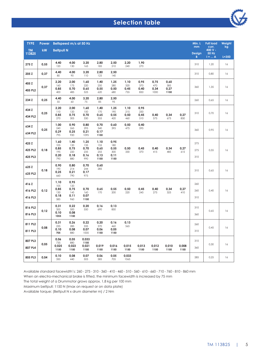

## **Selection table**

| <b>TYPE</b>                 | Power |                                           | Beltspeed m/s at 50 Hz                    |                                           |                                            |                                            |                            |                            |                             |                             |               | Min. L<br>mm       | <b>Full load</b><br>curr.           | Weight          |
|-----------------------------|-------|-------------------------------------------|-------------------------------------------|-------------------------------------------|--------------------------------------------|--------------------------------------------|----------------------------|----------------------------|-----------------------------|-----------------------------|---------------|--------------------|-------------------------------------|-----------------|
| <b>TM</b><br>113B25         | kW    | <b>Beltpull N</b>                         |                                           |                                           |                                            |                                            |                            |                            |                             |                             |               | <b>Design</b><br>B | 400 V -<br><b>50 Hz</b><br>$I =  A$ | kg<br>$L = 350$ |
| 275 Z                       | 0,55  | 4,40<br>120                               | 4,00<br>130                               | 3,20<br>165                               | 2,80<br>185                                | 2,50<br>210                                | 2,20<br>240                | 1,90<br>270                |                             |                             |               | 310                | 1,20                                | $16$            |
| 205 Z                       | 0,37  | 4,40<br>80                                | 4.00<br>90                                | 3,20<br>110                               | 2,80<br>125                                | 2,50<br>140                                |                            |                            |                             |                             |               | 310                | 0,80                                | 16              |
| 405 Z<br>405 PL2            | 0,37  | 2,20<br>160<br>0,85<br>400                | 2,00<br>175<br>0,70<br>485                | 1,60<br>220<br>0,65<br>525                | 1,40<br>250<br>0,55<br>620                 | 1,25<br>280<br>0,50<br>680                 | 1,10<br>320<br>0,45<br>755 | 0,95<br>370<br>0,40<br>850 | 0,75<br>470<br>0,34<br>1000 | 0,60<br>585<br>0,27<br>1150 |               | 360                | 1,35                                | 16              |
| 234 Z                       | 0,25  | 4,40<br>55                                | 4,00<br>60                                | 3,20<br>75                                | 2,80<br>85                                 | 2,50<br>95                                 |                            |                            |                             |                             |               | 260                | 0,65                                | 16              |
| 434 Z<br>434 PL2            | 0,25  | 2,20<br>110<br>0,85<br>270                | 2,00<br>120<br>0,75<br>305                | 1,60<br>150<br>0,70<br>330                | 1,40<br>170<br>0,65<br>355                 | 1,25<br>190<br>0,55<br>420                 | 1,10<br>215<br>0,50<br>460 | 0,95<br>250<br>0,45<br>510 | 0,40<br>575                 | 0,34<br>675                 | 0,27<br>850   | 310                | 0,70                                | 16              |
| 634 Z<br>634 PL2            | 0,25  | 1,00<br>240<br>0,29<br>795                | 0,90<br>265<br>0,25<br>920                | 0,80<br>295<br>0,21<br>1095               | 0,70<br>340<br>0,17<br>1150                | 0,60<br>395                                | 0,50<br>475                | 0,40<br>595                |                             |                             |               | 360                | 0,95                                | 16              |
| 425 Z<br>425 PL2<br>425 PL3 | 0,18  | 1,60<br>105<br>0,85<br>195<br>0,20<br>790 | 1,40<br>120<br>0,75<br>220<br>0,18<br>880 | 1,25<br>135<br>0,70<br>235<br>0,16<br>990 | 1,10<br>155<br>0,65<br>255<br>0,13<br>1150 | 0,95<br>180<br>0,55<br>300<br>0,11<br>1150 | 0,50<br>330                | 0,45<br>370                | 0,40<br>415                 | 0,34<br>485                 | 0,27<br>615   | 275<br>275<br>310  | 0,55                                | 16              |
| 625 Z<br>625 PL2            | 0,18  | 0,90<br>190<br>0,25<br>660                | 0,80<br>214<br>0,21<br>790                | 0,70<br>244<br>0,17<br>975                | 0,60<br>285                                |                                            |                            |                            |                             |                             |               | 310                | 0,65                                | 16              |
| 416 Z<br>416 PL2<br>416 PL3 | 0,12  | 1,10<br>105<br>0,85<br>130<br>0,18<br>585 | 0,95<br>120<br>0,75<br>145<br>0,11<br>960 | 0,70<br>160<br>0,07<br>1150               | 0,65<br>170                                | 0,55<br>200                                | 0,50<br>220                | 0,45<br>245                | 0,40<br>275                 | 0,34<br>325                 | 0,27<br>410   | 260<br>260<br>310  | 0,40                                | 16              |
| 816 PL2<br>816 PL3          | 0,12  | 0,31<br>355<br>0,10<br>1055               | 0,22<br>500<br>0,08<br>1150               | 0,20<br>550                               | 0,16<br>690                                | 0,13<br>850                                |                            |                            |                             |                             |               | 310<br>360         | 0,65                                | 16              |
| 811 PL2<br>811 PL3          | 0,08  | 0,31<br>235<br>0,10<br>705                | 0,26<br>285<br>0,08<br>880                | 0,22<br>335<br>0,07<br>1005               | 0,20<br>370<br>0,06<br>1150                | 0,16<br>460<br>0,05<br>1150                | 0,13<br>565                |                            |                             |                             |               | 260<br>310         | 0,45                                | 16              |
| 807 PL3<br>807 PL4          | 0,05  | 0,06<br>735<br>0,025<br>1150              | 0,05<br>880<br>0,023<br>1150              | 0,033<br>1150<br>0,021<br>1150            | 0,019<br>1150                              | 0,016<br>1150                              | 0,015<br>1150              | 0,013<br>1150              | 0,012<br>1150               | 0,010<br>1150               | 0,008<br>1150 | 310<br>360         | 0,30                                | 16              |
| 805 PL3                     | 0,04  | 0,10<br>350                               | 0,08<br>440                               | 0,07<br>505                               | 0,06<br>585                                | 0,05<br>705                                | 0,033<br>1065              |                            |                             |                             |               | 285                | 0,25                                | 16              |

Available standard facewidth's: 260 - 275 - 310 - 360 - 410 - 460 - 510 - 560 - 610 - 660 - 710 - 760 - 810 - 860 mm

When an electro-mechanical brake is fitted, the minimum facewidth is increased by 75 mm

The total weight of a Drummotor grows approx. 1,8 kg per 100 mm

Maximum beltpull: 1150 N (Imax on request or on data plate)

Available torque: (Beltpull N x drum diameter m) / 2 Nm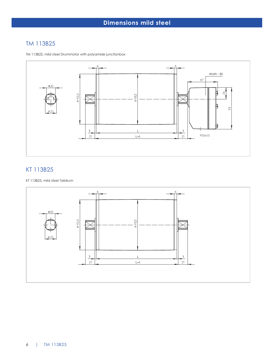## TM 113B25

TM 113B25, mild steel Drummotor with polyamide junctionbox



## KT 113B25

KT 113B25, mild steel Taildrum

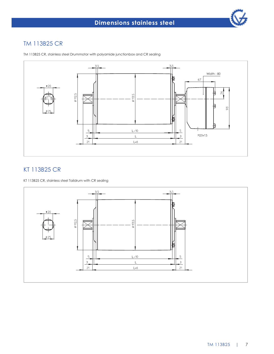

### TM 113B25 CR

TM 113B25 CR, stainless steel Drummotor with polyamide junctionbox and CR sealing



## KT 113B25 CR

KT 113B25 CR, stainless steel Taildrum with CR sealing

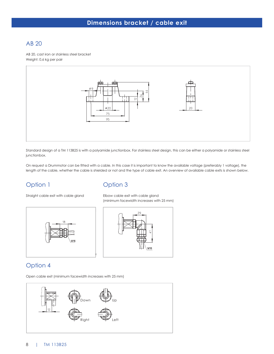#### AB 20

AB 20, cast iron or stainless steel bracket Weight: 0,6 kg per pair



Standard design of a TM 113B25 is with a polyamide junctionbox. For stainless steel design, this can be either a polyamide or stainless steel junctionbox.

On request a Drummotor can be fitted with a cable. In this case it is important to know the available voltage (preferably 1 voltage), the length of the cable, whether the cable is shielded or not and the type of cable exit. An overview of available cable exits is shown below.

## Option 1

Straight cable exit with cable gland



Elbow cable exit with cable gland (minimum facewidth increases with 25 mm)





#### Option 4

Open cable exit (minimum facewidth increases with 25 mm)

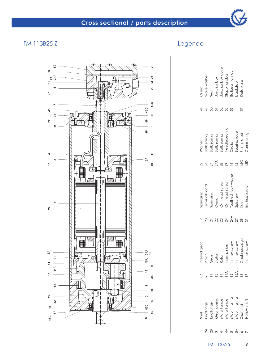# **Cross sectional / parts description**



# TM 113B25 Z Legenda



| allbearing incl.<br>topping plug<br>Vave washer<br>unctionbox<br>otaplate<br>ockstop<br>$\overline{\mathsf{H}}$<br>က္က<br>55<br>57<br>Needlebearing<br>3earing race<br><b>Ballbearing</b><br>Gammaring<br><b>Ballbearing</b><br>shim plated<br>Ballbearing<br>sallbearing<br>Circlip<br>45C<br>37A<br>45D<br>38<br>$\overline{\omega}$<br>45<br>loothed lock washer<br>Cyl. head screw<br>Cyl. head screw<br>erminalboard<br>nt. hex screw<br>Springring<br>O-ring<br>jetscrew<br>Key<br>24A<br>23<br>24<br>27<br>22<br>$\overline{2}$<br>29<br>Cable passage<br>nt. hex screw<br>int. hex screw<br>nt. hex screw<br>nsert pinion<br><b>Rotor</b><br>Pinion<br>Stator<br>Gear<br>Findlange<br>Findlange<br>Searhousing<br>Motoflange<br>Mountingring<br>Mountingring<br>Mountingring<br>Mountingring<br>A<br>A A m + 4 m 5 v<br>TM 113B25 |  | $\overline{\overline{e}}$ | nternal gear | springring | Vasher | <b>Diseal</b>    |
|-------------------------------------------------------------------------------------------------------------------------------------------------------------------------------------------------------------------------------------------------------------------------------------------------------------------------------------------------------------------------------------------------------------------------------------------------------------------------------------------------------------------------------------------------------------------------------------------------------------------------------------------------------------------------------------------------------------------------------------------------------------------------------------------------------------------------------------------|--|---------------------------|--------------|------------|--------|------------------|
|                                                                                                                                                                                                                                                                                                                                                                                                                                                                                                                                                                                                                                                                                                                                                                                                                                           |  |                           |              |            |        |                  |
|                                                                                                                                                                                                                                                                                                                                                                                                                                                                                                                                                                                                                                                                                                                                                                                                                                           |  |                           |              |            |        |                  |
|                                                                                                                                                                                                                                                                                                                                                                                                                                                                                                                                                                                                                                                                                                                                                                                                                                           |  |                           |              |            |        |                  |
|                                                                                                                                                                                                                                                                                                                                                                                                                                                                                                                                                                                                                                                                                                                                                                                                                                           |  |                           |              |            |        | unctionbox cover |
|                                                                                                                                                                                                                                                                                                                                                                                                                                                                                                                                                                                                                                                                                                                                                                                                                                           |  |                           |              |            |        |                  |
|                                                                                                                                                                                                                                                                                                                                                                                                                                                                                                                                                                                                                                                                                                                                                                                                                                           |  |                           |              |            |        |                  |
|                                                                                                                                                                                                                                                                                                                                                                                                                                                                                                                                                                                                                                                                                                                                                                                                                                           |  |                           |              |            |        |                  |
|                                                                                                                                                                                                                                                                                                                                                                                                                                                                                                                                                                                                                                                                                                                                                                                                                                           |  |                           |              |            |        |                  |
|                                                                                                                                                                                                                                                                                                                                                                                                                                                                                                                                                                                                                                                                                                                                                                                                                                           |  |                           |              |            |        |                  |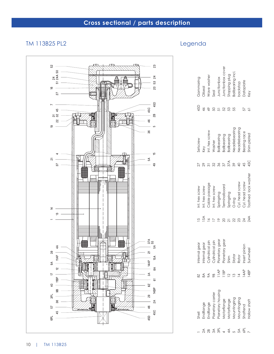# **Cross sectional / parts description**

# TM 113B25 PL2 Legenda



|                | iheil                                                                                                                        | iternal gear        |                | nt. hex screw      |               | Setscrew      | 45D | Gammaring         |
|----------------|------------------------------------------------------------------------------------------------------------------------------|---------------------|----------------|--------------------|---------------|---------------|-----|-------------------|
|                | indflange                                                                                                                    | <b>iternal</b> gear | $\frac{1}{2}$  | Int. hex screw     |               | key           |     | <b>Diseal</b>     |
|                | indflange                                                                                                                    | Cylindrical pin     |                | Cable passage      |               | nt. hex screw |     | Vave washer       |
|                |                                                                                                                              | Cylindrical pin     |                | nt. hex screw      |               | <b>Nasher</b> |     | ibea              |
|                |                                                                                                                              | lanetary gear       |                | pringring          |               | Ballbearing   |     | unctionbox        |
|                |                                                                                                                              | Planetary gear      |                | erminalboard       | 37            | Ballbearing   |     | unctionbox cover  |
| $25 + 45 + 56$ | Planetary carrier<br>Planetary housing<br>Motoflange<br>Mountingring<br>Mountingring<br>Mountingring<br>Shaftend<br>Shaftend | Shim                |                | ipringring         | 37A           | Ballbearing   |     | topping plug      |
|                |                                                                                                                              | stator              | $\overline{2}$ | O-ring             | 39            | Neadlebearing | 55  | sallbearing incl. |
|                |                                                                                                                              | Potor               | 23             | Cyl. head screw    | $\frac{1}{2}$ | Veadlebearing |     | ackstop           |
|                |                                                                                                                              | nsert pinion        |                | Cyl. head screw    | 45            | searing race  |     | <b>ataplate</b>   |
|                |                                                                                                                              | iunwheel            | 24A            | oothed lock washer | 45C           | shim plated   |     | ∖⊜⁄               |
|                |                                                                                                                              |                     |                |                    |               |               |     |                   |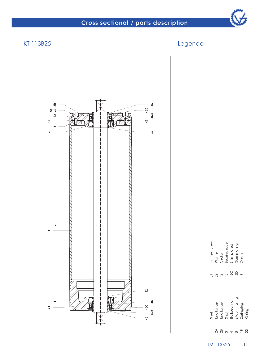# **Cross sectional / parts description**

# KT 113B25 Legenda



| <b>TM</b> |              | Shell                      | $\overline{3}$  | int. hex screw |
|-----------|--------------|----------------------------|-----------------|----------------|
|           |              | Endflange                  | 32              | Washer         |
| 113B25    | $rac{4}{28}$ |                            | $\overline{42}$ | Circlip        |
|           |              | Endflange<br>Shaft         | 45              | searing race   |
|           |              | <b>3allbearing</b>         | 45C             | shim plated    |
|           |              |                            | 45D             | Gammaring      |
|           | $\tilde{=}$  | Mountingring<br>Springring | $\frac{4}{5}$   | <b>Diseal</b>  |
|           | 22           | O-ring                     |                 |                |
|           |              |                            |                 |                |

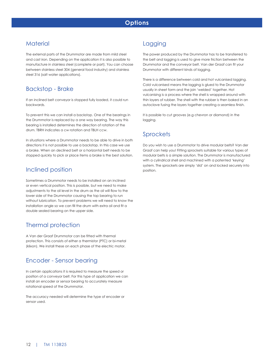#### **Options**

#### **Material**

The external parts of the Drummotor are made from mild steel and cast iron. Depending on the application it is also possible to manufacture in stainless steel (complete or part). You can choose between stainless steel 304 (general food industry) and stainless steel 316 (salt water applications).

#### Backstop - Brake

If an inclined belt conveyor is stopped fully loaded, it could run backwards.

To prevent this we can install a backstop. One of the bearings in the Drummotor is replaced by a one way bearing. The way this bearing is installed determines the direction of rotation of the drum. TBRH indicates a cw rotation and TBLH ccw.

In situations where a Drummotor needs to be able to drive in both directions it is not possible to use a backstop. In this case we use a brake. When an declined belt or a horizontal belt needs to be stopped quickly to pick or place items a brake is the best solution.

#### Inclined position

Sometimes a Drummotor needs to be installed on an inclined or even vertical position. This is possible, but we need to make adjustments to the oil level in the drum as the oil will flow to the lower side of the Drummotor causing the top bearing to run without lubrication. To prevent problems we will need to know the installation angle so we can fill the drum with extra oil and fit a double sealed bearing on the upper side.

#### Thermal protection

A Van der Graaf Drummotor can be fitted with thermal protection. This consists of either a thermistor (PTC) or bi-metal (klixon). We install these on each phase of the electric motor.

#### Encoder - Sensor bearing

In certain applications it is required to measure the speed or position of a conveyor belt. For this type of application we can install an encoder or sensor bearing to accurately measure rotational speed of the Drummotor.

The accuracy needed will determine the type of encoder or sensor used.

## Lagging

The power produced by the Drummotor has to be transferred to the belt and lagging is used to give more friction between the Drummotor and the conveyor belt. Van der Graaf can fit your Drummotor with different kinds of lagging.

There is a difference between cold and hot vulcanised lagging. Cold vulcanised means the lagging is glued to the Drummotor usually in sheet form and the join 'welded' together. Hot vulcanising is a process where the shell is wrapped around with thin layers of rubber. The shell with the rubber is then baked in an autoclave fusing the layers together creating a seamless finish.

It is possible to cut grooves (e.g chevron or diamond) in the lagging.

#### **Sprockets**

Do you wish to use a Drummotor to drive modular belts? Van der Graaf can help you! Fitting sprockets suitable for various types of modular belts is a simple solution. The Drummotor is manufactured with a cylindrical shell and machined with a patented 'keying' system. The sprockets are simply 'slid' on and locked securely into position.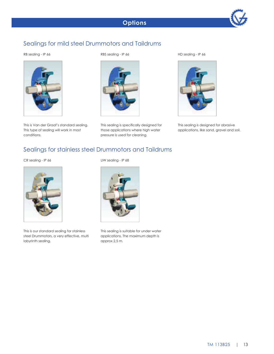



#### Sealings for mild steel Drummotors and Taildrums

RB sealing - IP 66



This is Van der Graaf's standard sealing. This type of sealing will work in most conditions.

#### RBS sealing - IP 66



This sealing is specifically designed for those applications where high water pressure is used for cleaning.

HD sealing - IP 66



This sealing is designed for abrasive applications, like sand, gravel and soil.

### Sealings for stainless steel Drummotors and Taildrums

CR sealing - IP 66



This is our standard sealing for stainless steel Drummotors, a very effective, multi labyrinth sealing.

UW sealing - IP 68



This sealing is suitable for under water applications. The maximum depth is approx 2,5 m.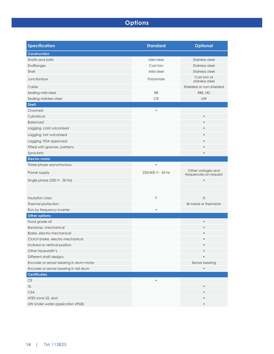# **Options**

| <b>Specification</b>                    | <b>Standard</b>   | <b>Optional</b>                              |
|-----------------------------------------|-------------------|----------------------------------------------|
| <b>Construction</b>                     |                   |                                              |
| Shafts and bolts                        | Mild steel        | Stainless steel                              |
| Endflanges                              | Cast iron         | Stainless steel                              |
| Shell                                   | Mild steel        | Stainless steel                              |
| Junctionbox                             | Polyamide         | Cast iron or<br>stainless steel              |
| Cable                                   |                   | Shielded or non-shielded                     |
| Sealing mild steel                      | RB                | RBS, HD                                      |
| Sealing stainless steel                 | <b>CR</b>         | UW                                           |
| <b>Shell</b>                            |                   |                                              |
| Crowned                                 | $\bullet$         |                                              |
| Cylindrical                             |                   |                                              |
| <b>Balanced</b>                         |                   |                                              |
| Lagging, cold vulcanised                |                   |                                              |
| Lagging, hot vulcanised                 |                   |                                              |
| Lagging, FDA approved                   |                   |                                              |
| Fitted with grooves, patterns           |                   |                                              |
| Sprockets                               |                   |                                              |
| <b>Electro motor</b>                    |                   |                                              |
| Three-phase asynchronous                |                   |                                              |
| Power supply                            | 230/400 V - 50 Hz | Other voltages and<br>frequencies on request |
| Single phase $(230 V - 50 Hz)$          |                   |                                              |
|                                         |                   |                                              |
|                                         |                   |                                              |
| Insulation class                        | F                 | Н                                            |
| Thermal protection                      |                   | <b>Bi-metal or thermistor</b>                |
| Run by frequency inverter               | ٠                 |                                              |
| <b>Other options</b>                    |                   |                                              |
| Food grade oil                          |                   | $\bullet$                                    |
| Backstop, mechanical                    |                   |                                              |
| Brake, electro mechanical               |                   |                                              |
| Clutch brake, electro mechanical        |                   |                                              |
| Inclined or vertical position           |                   |                                              |
| Other facewidth's                       |                   |                                              |
| Different shaft designs                 |                   |                                              |
| Encoder or sensor bearing in drum motor |                   | Sensor bearing                               |
| Encoder or sensor bearing in tail drum  |                   |                                              |
| <b>Certificates</b>                     |                   |                                              |
| $\mathsf{CE}$                           |                   |                                              |
| UL                                      |                   |                                              |
| <b>CSA</b>                              |                   |                                              |
| ATEX zone 22, dust                      |                   |                                              |
| UW Under water application (IP68)       |                   | $\bullet$                                    |